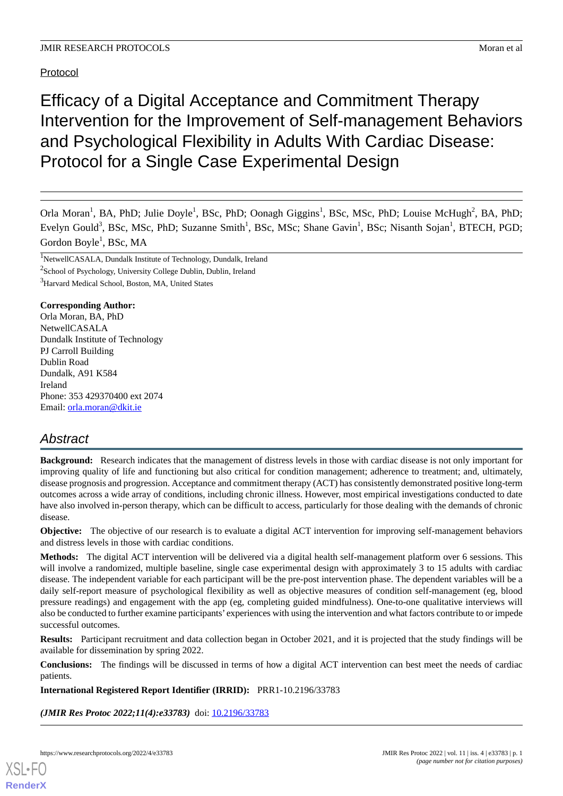Protocol

# Efficacy of a Digital Acceptance and Commitment Therapy Intervention for the Improvement of Self-management Behaviors and Psychological Flexibility in Adults With Cardiac Disease: Protocol for a Single Case Experimental Design

Orla Moran<sup>1</sup>, BA, PhD; Julie Doyle<sup>1</sup>, BSc, PhD; Oonagh Giggins<sup>1</sup>, BSc, MSc, PhD; Louise McHugh<sup>2</sup>, BA, PhD; Evelyn Gould<sup>3</sup>, BSc, MSc, PhD; Suzanne Smith<sup>1</sup>, BSc, MSc; Shane Gavin<sup>1</sup>, BSc; Nisanth Sojan<sup>1</sup>, BTECH, PGD; Gordon Boyle<sup>1</sup>, BSc, MA

<sup>1</sup>NetwellCASALA, Dundalk Institute of Technology, Dundalk, Ireland <sup>2</sup>School of Psychology, University College Dublin, Dublin, Ireland <sup>3</sup>Harvard Medical School, Boston, MA, United States

#### **Corresponding Author:**

Orla Moran, BA, PhD NetwellCASALA Dundalk Institute of Technology PJ Carroll Building Dublin Road Dundalk, A91 K584 Ireland Phone: 353 429370400 ext 2074 Email: [orla.moran@dkit.ie](mailto:orla.moran@dkit.ie)

## *Abstract*

**Background:** Research indicates that the management of distress levels in those with cardiac disease is not only important for improving quality of life and functioning but also critical for condition management; adherence to treatment; and, ultimately, disease prognosis and progression. Acceptance and commitment therapy (ACT) has consistently demonstrated positive long-term outcomes across a wide array of conditions, including chronic illness. However, most empirical investigations conducted to date have also involved in-person therapy, which can be difficult to access, particularly for those dealing with the demands of chronic disease.

**Objective:** The objective of our research is to evaluate a digital ACT intervention for improving self-management behaviors and distress levels in those with cardiac conditions.

**Methods:** The digital ACT intervention will be delivered via a digital health self-management platform over 6 sessions. This will involve a randomized, multiple baseline, single case experimental design with approximately 3 to 15 adults with cardiac disease. The independent variable for each participant will be the pre-post intervention phase. The dependent variables will be a daily self-report measure of psychological flexibility as well as objective measures of condition self-management (eg, blood pressure readings) and engagement with the app (eg, completing guided mindfulness). One-to-one qualitative interviews will also be conducted to further examine participants' experiences with using the intervention and what factors contribute to or impede successful outcomes.

**Results:** Participant recruitment and data collection began in October 2021, and it is projected that the study findings will be available for dissemination by spring 2022.

**Conclusions:** The findings will be discussed in terms of how a digital ACT intervention can best meet the needs of cardiac patients.

**International Registered Report Identifier (IRRID):** PRR1-10.2196/33783

*(JMIR Res Protoc 2022;11(4):e33783)* doi: [10.2196/33783](http://dx.doi.org/10.2196/33783)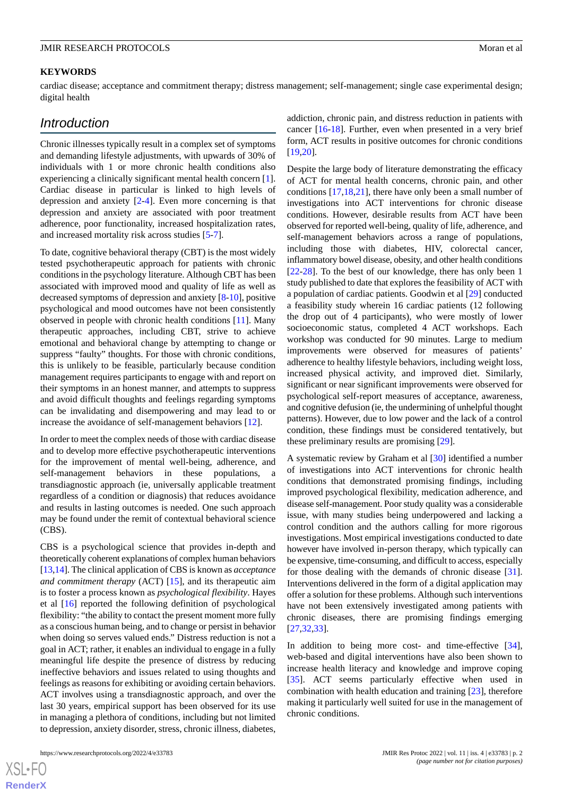#### **KEYWORDS**

cardiac disease; acceptance and commitment therapy; distress management; self-management; single case experimental design; digital health

## *Introduction*

Chronic illnesses typically result in a complex set of symptoms and demanding lifestyle adjustments, with upwards of 30% of individuals with 1 or more chronic health conditions also experiencing a clinically significant mental health concern [[1\]](#page-7-0). Cardiac disease in particular is linked to high levels of depression and anxiety [[2](#page-7-1)[-4](#page-7-2)]. Even more concerning is that depression and anxiety are associated with poor treatment adherence, poor functionality, increased hospitalization rates, and increased mortality risk across studies [[5](#page-7-3)-[7\]](#page-7-4).

To date, cognitive behavioral therapy (CBT) is the most widely tested psychotherapeutic approach for patients with chronic conditions in the psychology literature. Although CBT has been associated with improved mood and quality of life as well as decreased symptoms of depression and anxiety [\[8](#page-7-5)[-10](#page-7-6)], positive psychological and mood outcomes have not been consistently observed in people with chronic health conditions [[11\]](#page-7-7). Many therapeutic approaches, including CBT, strive to achieve emotional and behavioral change by attempting to change or suppress "faulty" thoughts. For those with chronic conditions, this is unlikely to be feasible, particularly because condition management requires participants to engage with and report on their symptoms in an honest manner, and attempts to suppress and avoid difficult thoughts and feelings regarding symptoms can be invalidating and disempowering and may lead to or increase the avoidance of self-management behaviors [[12\]](#page-7-8).

In order to meet the complex needs of those with cardiac disease and to develop more effective psychotherapeutic interventions for the improvement of mental well-being, adherence, and self-management behaviors in these populations, a transdiagnostic approach (ie, universally applicable treatment regardless of a condition or diagnosis) that reduces avoidance and results in lasting outcomes is needed. One such approach may be found under the remit of contextual behavioral science (CBS).

CBS is a psychological science that provides in-depth and theoretically coherent explanations of complex human behaviors [[13,](#page-7-9)[14\]](#page-7-10). The clinical application of CBS is known as *acceptance and commitment therapy* (ACT) [\[15](#page-7-11)], and its therapeutic aim is to foster a process known as *psychological flexibility*. Hayes et al [\[16](#page-7-12)] reported the following definition of psychological flexibility: "the ability to contact the present moment more fully as a conscious human being, and to change or persist in behavior when doing so serves valued ends." Distress reduction is not a goal in ACT; rather, it enables an individual to engage in a fully meaningful life despite the presence of distress by reducing ineffective behaviors and issues related to using thoughts and feelings as reasons for exhibiting or avoiding certain behaviors. ACT involves using a transdiagnostic approach, and over the last 30 years, empirical support has been observed for its use in managing a plethora of conditions, including but not limited to depression, anxiety disorder, stress, chronic illness, diabetes,

addiction, chronic pain, and distress reduction in patients with cancer [[16-](#page-7-12)[18\]](#page-7-13). Further, even when presented in a very brief form, ACT results in positive outcomes for chronic conditions [[19,](#page-7-14)[20\]](#page-7-15).

Despite the large body of literature demonstrating the efficacy of ACT for mental health concerns, chronic pain, and other conditions [\[17](#page-7-16),[18,](#page-7-13)[21](#page-8-0)], there have only been a small number of investigations into ACT interventions for chronic disease conditions. However, desirable results from ACT have been observed for reported well-being, quality of life, adherence, and self-management behaviors across a range of populations, including those with diabetes, HIV, colorectal cancer, inflammatory bowel disease, obesity, and other health conditions [[22](#page-8-1)[-28](#page-8-2)]. To the best of our knowledge, there has only been 1 study published to date that explores the feasibility of ACT with a population of cardiac patients. Goodwin et al [[29\]](#page-8-3) conducted a feasibility study wherein 16 cardiac patients (12 following the drop out of 4 participants), who were mostly of lower socioeconomic status, completed 4 ACT workshops. Each workshop was conducted for 90 minutes. Large to medium improvements were observed for measures of patients' adherence to healthy lifestyle behaviors, including weight loss, increased physical activity, and improved diet. Similarly, significant or near significant improvements were observed for psychological self-report measures of acceptance, awareness, and cognitive defusion (ie, the undermining of unhelpful thought patterns). However, due to low power and the lack of a control condition, these findings must be considered tentatively, but these preliminary results are promising [[29\]](#page-8-3).

A systematic review by Graham et al [\[30](#page-8-4)] identified a number of investigations into ACT interventions for chronic health conditions that demonstrated promising findings, including improved psychological flexibility, medication adherence, and disease self-management. Poor study quality was a considerable issue, with many studies being underpowered and lacking a control condition and the authors calling for more rigorous investigations. Most empirical investigations conducted to date however have involved in-person therapy, which typically can be expensive, time-consuming, and difficult to access, especially for those dealing with the demands of chronic disease [[31\]](#page-8-5). Interventions delivered in the form of a digital application may offer a solution for these problems. Although such interventions have not been extensively investigated among patients with chronic diseases, there are promising findings emerging [[27,](#page-8-6)[32,](#page-8-7)[33\]](#page-8-8).

In addition to being more cost- and time-effective [[34\]](#page-8-9), web-based and digital interventions have also been shown to increase health literacy and knowledge and improve coping [[35\]](#page-8-10). ACT seems particularly effective when used in combination with health education and training [\[23](#page-8-11)], therefore making it particularly well suited for use in the management of chronic conditions.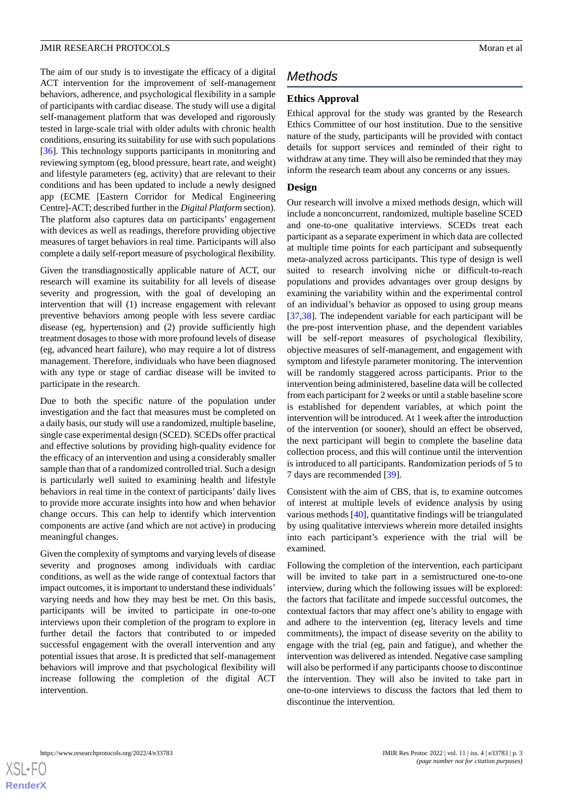The aim of our study is to investigate the efficacy of a digital ACT intervention for the improvement of self-management behaviors, adherence, and psychological flexibility in a sample of participants with cardiac disease. The study will use a digital self-management platform that was developed and rigorously tested in large-scale trial with older adults with chronic health conditions, ensuring its suitability for use with such populations [[36\]](#page-8-12). This technology supports participants in monitoring and reviewing symptom (eg, blood pressure, heart rate, and weight) and lifestyle parameters (eg, activity) that are relevant to their conditions and has been updated to include a newly designed app (ECME [Eastern Corridor for Medical Engineering Centre]-ACT; described further in the *Digital Platform* section). The platform also captures data on participants' engagement with devices as well as readings, therefore providing objective measures of target behaviors in real time. Participants will also complete a daily self-report measure of psychological flexibility.

Given the transdiagnostically applicable nature of ACT, our research will examine its suitability for all levels of disease severity and progression, with the goal of developing an intervention that will (1) increase engagement with relevant preventive behaviors among people with less severe cardiac disease (eg, hypertension) and (2) provide sufficiently high treatment dosages to those with more profound levels of disease (eg, advanced heart failure), who may require a lot of distress management. Therefore, individuals who have been diagnosed with any type or stage of cardiac disease will be invited to participate in the research.

Due to both the specific nature of the population under investigation and the fact that measures must be completed on a daily basis, our study will use a randomized, multiple baseline, single case experimental design (SCED). SCEDs offer practical and effective solutions by providing high-quality evidence for the efficacy of an intervention and using a considerably smaller sample than that of a randomized controlled trial. Such a design is particularly well suited to examining health and lifestyle behaviors in real time in the context of participants' daily lives to provide more accurate insights into how and when behavior change occurs. This can help to identify which intervention components are active (and which are not active) in producing meaningful changes.

Given the complexity of symptoms and varying levels of disease severity and prognoses among individuals with cardiac conditions, as well as the wide range of contextual factors that impact outcomes, it is important to understand these individuals' varying needs and how they may best be met. On this basis, participants will be invited to participate in one-to-one interviews upon their completion of the program to explore in further detail the factors that contributed to or impeded successful engagement with the overall intervention and any potential issues that arose. It is predicted that self-management behaviors will improve and that psychological flexibility will increase following the completion of the digital ACT intervention.

## *Methods*

#### **Ethics Approval**

Ethical approval for the study was granted by the Research Ethics Committee of our host institution. Due to the sensitive nature of the study, participants will be provided with contact details for support services and reminded of their right to withdraw at any time. They will also be reminded that they may inform the research team about any concerns or any issues.

#### **Design**

Our research will involve a mixed methods design, which will include a nonconcurrent, randomized, multiple baseline SCED and one-to-one qualitative interviews. SCEDs treat each participant as a separate experiment in which data are collected at multiple time points for each participant and subsequently meta-analyzed across participants. This type of design is well suited to research involving niche or difficult-to-reach populations and provides advantages over group designs by examining the variability within and the experimental control of an individual's behavior as opposed to using group means [[37,](#page-8-13)[38\]](#page-8-14). The independent variable for each participant will be the pre-post intervention phase, and the dependent variables will be self-report measures of psychological flexibility, objective measures of self-management, and engagement with symptom and lifestyle parameter monitoring. The intervention will be randomly staggered across participants. Prior to the intervention being administered, baseline data will be collected from each participant for 2 weeks or until a stable baseline score is established for dependent variables, at which point the intervention will be introduced. At 1 week after the introduction of the intervention (or sooner), should an effect be observed, the next participant will begin to complete the baseline data collection process, and this will continue until the intervention is introduced to all participants. Randomization periods of 5 to 7 days are recommended [\[39](#page-8-15)].

Consistent with the aim of CBS, that is, to examine outcomes of interest at multiple levels of evidence analysis by using various methods [\[40](#page-8-16)], quantitative findings will be triangulated by using qualitative interviews wherein more detailed insights into each participant's experience with the trial will be examined.

Following the completion of the intervention, each participant will be invited to take part in a semistructured one-to-one interview, during which the following issues will be explored: the factors that facilitate and impede successful outcomes, the contextual factors that may affect one's ability to engage with and adhere to the intervention (eg, literacy levels and time commitments), the impact of disease severity on the ability to engage with the trial (eg, pain and fatigue), and whether the intervention was delivered as intended. Negative case sampling will also be performed if any participants choose to discontinue the intervention. They will also be invited to take part in one-to-one interviews to discuss the factors that led them to discontinue the intervention.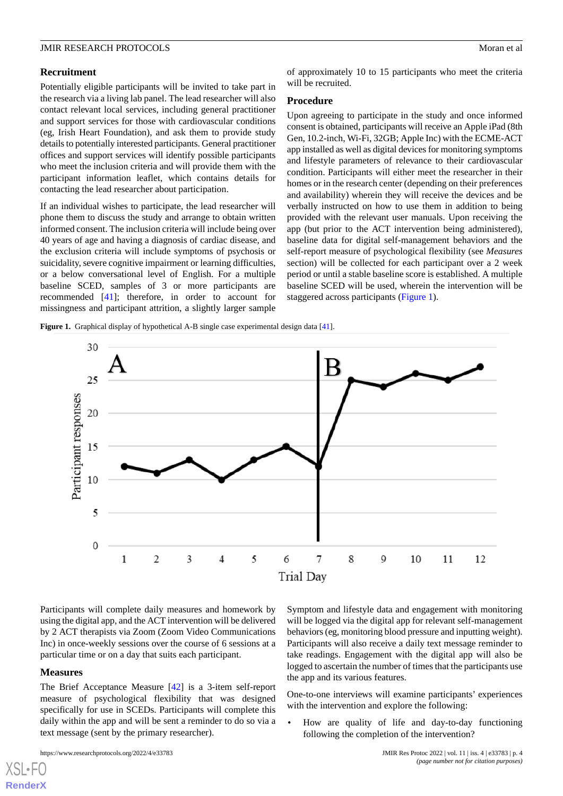#### **Recruitment**

Potentially eligible participants will be invited to take part in the research via a living lab panel. The lead researcher will also contact relevant local services, including general practitioner and support services for those with cardiovascular conditions (eg, Irish Heart Foundation), and ask them to provide study details to potentially interested participants. General practitioner offices and support services will identify possible participants who meet the inclusion criteria and will provide them with the participant information leaflet, which contains details for contacting the lead researcher about participation.

If an individual wishes to participate, the lead researcher will phone them to discuss the study and arrange to obtain written informed consent. The inclusion criteria will include being over 40 years of age and having a diagnosis of cardiac disease, and the exclusion criteria will include symptoms of psychosis or suicidality, severe cognitive impairment or learning difficulties, or a below conversational level of English. For a multiple baseline SCED, samples of 3 or more participants are recommended [\[41](#page-8-17)]; therefore, in order to account for missingness and participant attrition, a slightly larger sample

of approximately 10 to 15 participants who meet the criteria will be recruited.

#### **Procedure**

Upon agreeing to participate in the study and once informed consent is obtained, participants will receive an Apple iPad (8th Gen, 10.2-inch, Wi-Fi, 32GB; Apple Inc) with the ECME-ACT app installed as well as digital devices for monitoring symptoms and lifestyle parameters of relevance to their cardiovascular condition. Participants will either meet the researcher in their homes or in the research center (depending on their preferences and availability) wherein they will receive the devices and be verbally instructed on how to use them in addition to being provided with the relevant user manuals. Upon receiving the app (but prior to the ACT intervention being administered), baseline data for digital self-management behaviors and the self-report measure of psychological flexibility (see *Measures* section) will be collected for each participant over a 2 week period or until a stable baseline score is established. A multiple baseline SCED will be used, wherein the intervention will be staggered across participants [\(Figure 1](#page-3-0)).

<span id="page-3-0"></span>Figure 1. Graphical display of hypothetical A-B single case experimental design data [[41](#page-8-17)].



Participants will complete daily measures and homework by using the digital app, and the ACT intervention will be delivered by 2 ACT therapists via Zoom (Zoom Video Communications Inc) in once-weekly sessions over the course of 6 sessions at a particular time or on a day that suits each participant.

#### **Measures**

[XSL](http://www.w3.org/Style/XSL)•FO **[RenderX](http://www.renderx.com/)**

The Brief Acceptance Measure [\[42](#page-9-0)] is a 3-item self-report measure of psychological flexibility that was designed specifically for use in SCEDs. Participants will complete this daily within the app and will be sent a reminder to do so via a text message (sent by the primary researcher).

Symptom and lifestyle data and engagement with monitoring will be logged via the digital app for relevant self-management behaviors (eg, monitoring blood pressure and inputting weight). Participants will also receive a daily text message reminder to take readings. Engagement with the digital app will also be logged to ascertain the number of times that the participants use the app and its various features.

One-to-one interviews will examine participants' experiences with the intervention and explore the following:

• How are quality of life and day-to-day functioning following the completion of the intervention?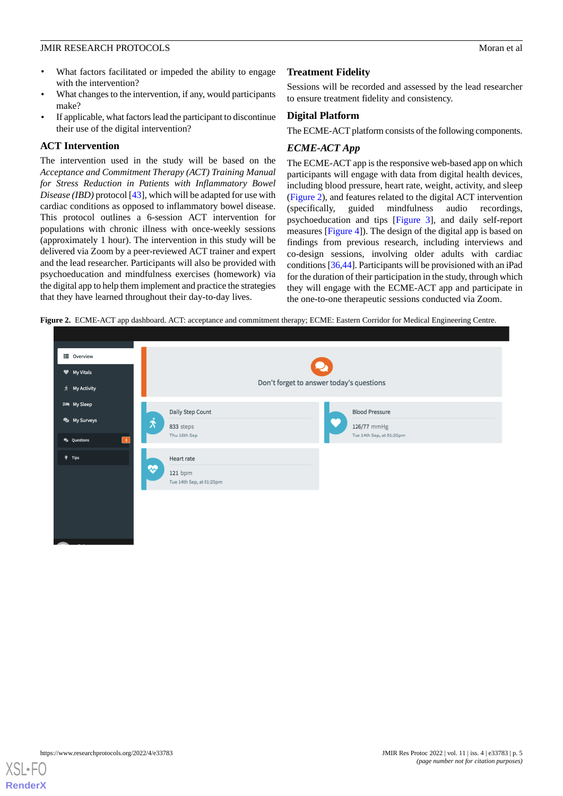- What factors facilitated or impeded the ability to engage with the intervention?
- What changes to the intervention, if any, would participants make?
- If applicable, what factors lead the participant to discontinue their use of the digital intervention?

#### **ACT Intervention**

The intervention used in the study will be based on the *Acceptance and Commitment Therapy (ACT) Training Manual for Stress Reduction in Patients with Inflammatory Bowel Disease (IBD)* protocol [[43\]](#page-9-1), which will be adapted for use with cardiac conditions as opposed to inflammatory bowel disease. This protocol outlines a 6-session ACT intervention for populations with chronic illness with once-weekly sessions (approximately 1 hour). The intervention in this study will be delivered via Zoom by a peer-reviewed ACT trainer and expert and the lead researcher. Participants will also be provided with psychoeducation and mindfulness exercises (homework) via the digital app to help them implement and practice the strategies that they have learned throughout their day-to-day lives.

#### **Treatment Fidelity**

Sessions will be recorded and assessed by the lead researcher to ensure treatment fidelity and consistency.

#### **Digital Platform**

The ECME-ACT platform consists of the following components.

#### *ECME-ACT App*

The ECME-ACT app is the responsive web-based app on which participants will engage with data from digital health devices, including blood pressure, heart rate, weight, activity, and sleep ([Figure 2](#page-4-0)), and features related to the digital ACT intervention (specifically, guided mindfulness audio recordings, psychoeducation and tips [[Figure 3](#page-5-0)], and daily self-report measures [[Figure 4](#page-5-1)]). The design of the digital app is based on findings from previous research, including interviews and co-design sessions, involving older adults with cardiac conditions [[36,](#page-8-12)[44](#page-9-2)]. Participants will be provisioned with an iPad for the duration of their participation in the study, through which they will engage with the ECME-ACT app and participate in the one-to-one therapeutic sessions conducted via Zoom.

<span id="page-4-0"></span>**Figure 2.** ECME-ACT app dashboard. ACT: acceptance and commitment therapy; ECME: Eastern Corridor for Medical Engineering Centre.



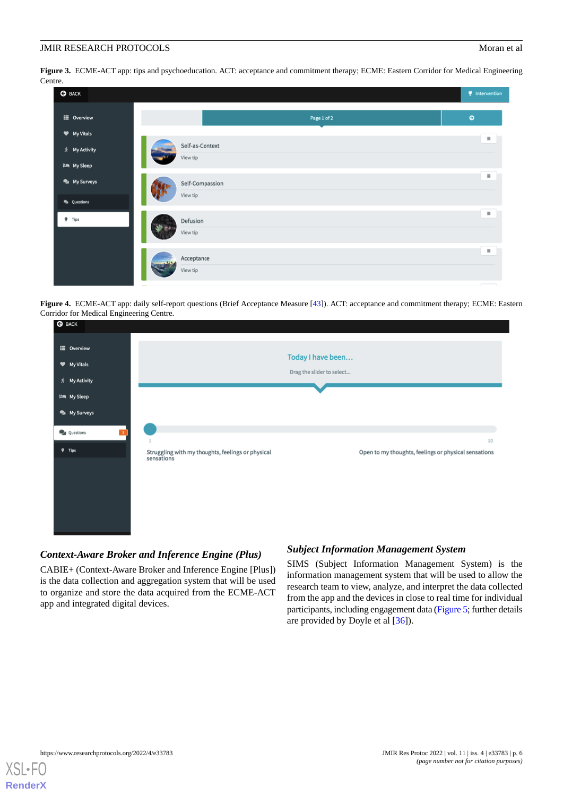<span id="page-5-0"></span>**Figure 3.** ECME-ACT app: tips and psychoeducation. ACT: acceptance and commitment therapy; ECME: Eastern Corridor for Medical Engineering Centre.

| <b>G</b> BACK                  |                             | <i>Intervention</i>      |
|--------------------------------|-----------------------------|--------------------------|
| E Overview                     | Page 1 of 2                 | $\bullet$                |
| W My Vitals<br>* My Activity   | Self-as-Context             | $\equiv$                 |
| <b>I'm</b> My Sleep            | View tip                    | $\equiv$                 |
| My Surveys<br><b>Questions</b> | Self-Compassion<br>View tip |                          |
| $9$ Tips                       | Defusion<br>View tip        | $\equiv$                 |
|                                | Acceptance<br>View tip      | $\equiv$                 |
|                                |                             | $\overline{\phantom{a}}$ |

<span id="page-5-1"></span>**Figure 4.** ECME-ACT app: daily self-report questions (Brief Acceptance Measure [[43](#page-9-1)]). ACT: acceptance and commitment therapy; ECME: Eastern Corridor for Medical Engineering Centre.

| <b>CA</b> DUCK      |                                                                 |                                                |                                                      |
|---------------------|-----------------------------------------------------------------|------------------------------------------------|------------------------------------------------------|
| E Overview          |                                                                 |                                                |                                                      |
| Wy Vitals           |                                                                 | Today I have been<br>Drag the slider to select |                                                      |
| * My Activity       |                                                                 |                                                |                                                      |
| <b>I'm My Sleep</b> |                                                                 |                                                |                                                      |
| My Surveys          |                                                                 |                                                |                                                      |
| Questions           |                                                                 |                                                | 10                                                   |
| $9$ Tips            | Struggling with my thoughts, feelings or physical<br>sensations |                                                | Open to my thoughts, feelings or physical sensations |

### *Context-Aware Broker and Inference Engine (Plus)*

CABIE+ (Context-Aware Broker and Inference Engine [Plus]) is the data collection and aggregation system that will be used to organize and store the data acquired from the ECME-ACT app and integrated digital devices.

#### *Subject Information Management System*

SIMS (Subject Information Management System) is the information management system that will be used to allow the research team to view, analyze, and interpret the data collected from the app and the devices in close to real time for individual participants, including engagement data [\(Figure 5](#page-6-0); further details are provided by Doyle et al [\[36](#page-8-12)]).

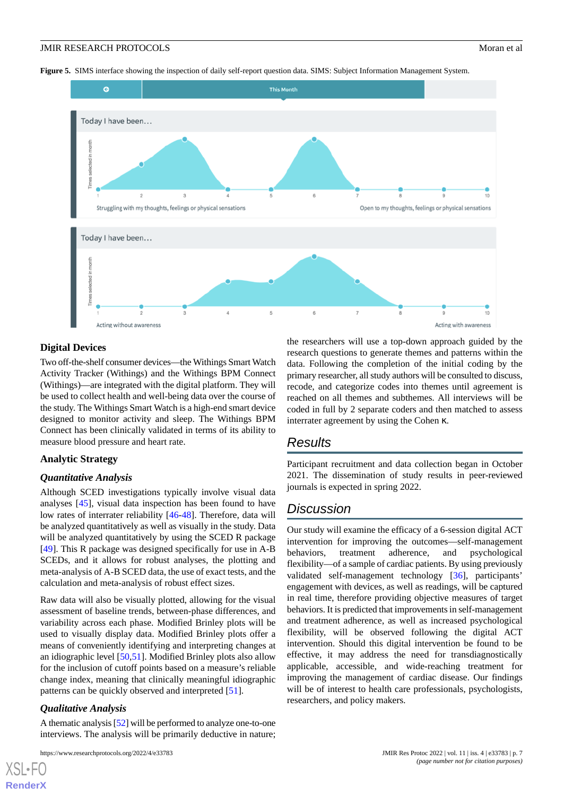<span id="page-6-0"></span>**Figure 5.** SIMS interface showing the inspection of daily self-report question data. SIMS: Subject Information Management System.



#### **Digital Devices**

Two off-the-shelf consumer devices—the Withings Smart Watch Activity Tracker (Withings) and the Withings BPM Connect (Withings)—are integrated with the digital platform. They will be used to collect health and well-being data over the course of the study. The Withings Smart Watch is a high-end smart device designed to monitor activity and sleep. The Withings BPM Connect has been clinically validated in terms of its ability to measure blood pressure and heart rate.

#### **Analytic Strategy**

#### *Quantitative Analysis*

Although SCED investigations typically involve visual data analyses [\[45](#page-9-3)], visual data inspection has been found to have low rates of interrater reliability [[46](#page-9-4)[-48](#page-9-5)]. Therefore, data will be analyzed quantitatively as well as visually in the study. Data will be analyzed quantitatively by using the SCED R package [[49\]](#page-9-6). This R package was designed specifically for use in A-B SCEDs, and it allows for robust analyses, the plotting and meta-analysis of A-B SCED data, the use of exact tests, and the calculation and meta-analysis of robust effect sizes.

Raw data will also be visually plotted, allowing for the visual assessment of baseline trends, between-phase differences, and variability across each phase. Modified Brinley plots will be used to visually display data. Modified Brinley plots offer a means of conveniently identifying and interpreting changes at an idiographic level [\[50](#page-9-7),[51\]](#page-9-8). Modified Brinley plots also allow for the inclusion of cutoff points based on a measure's reliable change index, meaning that clinically meaningful idiographic patterns can be quickly observed and interpreted [\[51](#page-9-8)].

#### *Qualitative Analysis*

[XSL](http://www.w3.org/Style/XSL)•FO **[RenderX](http://www.renderx.com/)**

A thematic analysis [\[52\]](#page-9-9) will be performed to analyze one-to-one interviews. The analysis will be primarily deductive in nature;

the researchers will use a top-down approach guided by the research questions to generate themes and patterns within the data. Following the completion of the initial coding by the primary researcher, all study authors will be consulted to discuss, recode, and categorize codes into themes until agreement is reached on all themes and subthemes. All interviews will be coded in full by 2 separate coders and then matched to assess interrater agreement by using the Cohen κ.

## *Results*

Participant recruitment and data collection began in October 2021. The dissemination of study results in peer-reviewed journals is expected in spring 2022.

## *Discussion*

Our study will examine the efficacy of a 6-session digital ACT intervention for improving the outcomes—self-management behaviors, treatment adherence, and psychological flexibility—of a sample of cardiac patients. By using previously validated self-management technology [\[36](#page-8-12)], participants' engagement with devices, as well as readings, will be captured in real time, therefore providing objective measures of target behaviors. It is predicted that improvements in self-management and treatment adherence, as well as increased psychological flexibility, will be observed following the digital ACT intervention. Should this digital intervention be found to be effective, it may address the need for transdiagnostically applicable, accessible, and wide-reaching treatment for improving the management of cardiac disease. Our findings will be of interest to health care professionals, psychologists, researchers, and policy makers.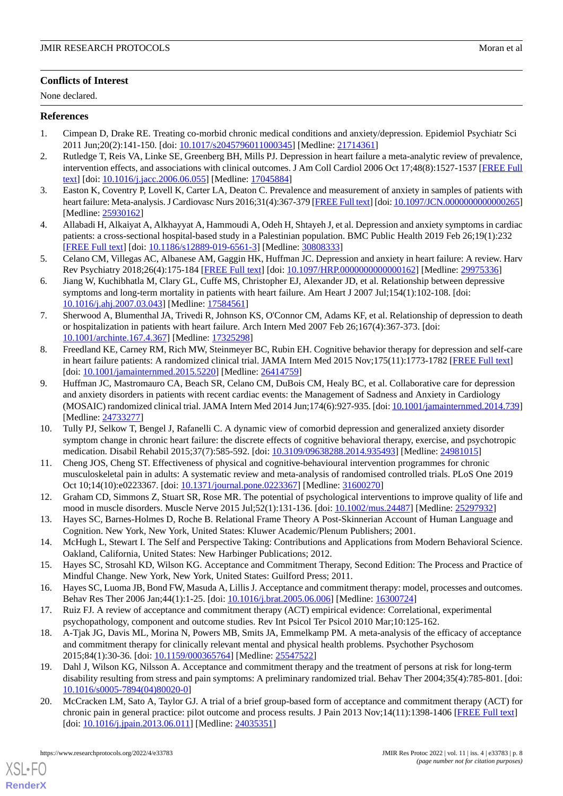#### **Conflicts of Interest**

None declared.

#### <span id="page-7-0"></span>**References**

- <span id="page-7-1"></span>1. Cimpean D, Drake RE. Treating co-morbid chronic medical conditions and anxiety/depression. Epidemiol Psychiatr Sci 2011 Jun;20(2):141-150. [doi: [10.1017/s2045796011000345](http://dx.doi.org/10.1017/s2045796011000345)] [Medline: [21714361\]](http://www.ncbi.nlm.nih.gov/entrez/query.fcgi?cmd=Retrieve&db=PubMed&list_uids=21714361&dopt=Abstract)
- 2. Rutledge T, Reis VA, Linke SE, Greenberg BH, Mills PJ. Depression in heart failure a meta-analytic review of prevalence, intervention effects, and associations with clinical outcomes. J Am Coll Cardiol 2006 Oct 17;48(8):1527-1537 [[FREE Full](https://linkinghub.elsevier.com/retrieve/pii/S0735-1097(06)01905-X) [text](https://linkinghub.elsevier.com/retrieve/pii/S0735-1097(06)01905-X)] [doi: [10.1016/j.jacc.2006.06.055\]](http://dx.doi.org/10.1016/j.jacc.2006.06.055) [Medline: [17045884\]](http://www.ncbi.nlm.nih.gov/entrez/query.fcgi?cmd=Retrieve&db=PubMed&list_uids=17045884&dopt=Abstract)
- <span id="page-7-2"></span>3. Easton K, Coventry P, Lovell K, Carter LA, Deaton C. Prevalence and measurement of anxiety in samples of patients with heart failure: Meta-analysis. J Cardiovasc Nurs 2016;31(4):367-379 [\[FREE Full text](http://europepmc.org/abstract/MED/25930162)] [doi: 10.1097/JCN.000000000000265] [Medline: [25930162](http://www.ncbi.nlm.nih.gov/entrez/query.fcgi?cmd=Retrieve&db=PubMed&list_uids=25930162&dopt=Abstract)]
- <span id="page-7-3"></span>4. Allabadi H, Alkaiyat A, Alkhayyat A, Hammoudi A, Odeh H, Shtayeh J, et al. Depression and anxiety symptoms in cardiac patients: a cross-sectional hospital-based study in a Palestinian population. BMC Public Health 2019 Feb 26;19(1):232 [[FREE Full text](https://bmcpublichealth.biomedcentral.com/articles/10.1186/s12889-019-6561-3)] [doi: [10.1186/s12889-019-6561-3\]](http://dx.doi.org/10.1186/s12889-019-6561-3) [Medline: [30808333](http://www.ncbi.nlm.nih.gov/entrez/query.fcgi?cmd=Retrieve&db=PubMed&list_uids=30808333&dopt=Abstract)]
- 5. Celano CM, Villegas AC, Albanese AM, Gaggin HK, Huffman JC. Depression and anxiety in heart failure: A review. Harv Rev Psychiatry 2018;26(4):175-184 [[FREE Full text](http://europepmc.org/abstract/MED/29975336)] [doi: [10.1097/HRP.0000000000000162\]](http://dx.doi.org/10.1097/HRP.0000000000000162) [Medline: [29975336\]](http://www.ncbi.nlm.nih.gov/entrez/query.fcgi?cmd=Retrieve&db=PubMed&list_uids=29975336&dopt=Abstract)
- <span id="page-7-4"></span>6. Jiang W, Kuchibhatla M, Clary GL, Cuffe MS, Christopher EJ, Alexander JD, et al. Relationship between depressive symptoms and long-term mortality in patients with heart failure. Am Heart J 2007 Jul;154(1):102-108. [doi: [10.1016/j.ahj.2007.03.043\]](http://dx.doi.org/10.1016/j.ahj.2007.03.043) [Medline: [17584561\]](http://www.ncbi.nlm.nih.gov/entrez/query.fcgi?cmd=Retrieve&db=PubMed&list_uids=17584561&dopt=Abstract)
- <span id="page-7-5"></span>7. Sherwood A, Blumenthal JA, Trivedi R, Johnson KS, O'Connor CM, Adams KF, et al. Relationship of depression to death or hospitalization in patients with heart failure. Arch Intern Med 2007 Feb 26;167(4):367-373. [doi: [10.1001/archinte.167.4.367](http://dx.doi.org/10.1001/archinte.167.4.367)] [Medline: [17325298](http://www.ncbi.nlm.nih.gov/entrez/query.fcgi?cmd=Retrieve&db=PubMed&list_uids=17325298&dopt=Abstract)]
- 8. Freedland KE, Carney RM, Rich MW, Steinmeyer BC, Rubin EH. Cognitive behavior therapy for depression and self-care in heart failure patients: A randomized clinical trial. JAMA Intern Med 2015 Nov;175(11):1773-1782 [[FREE Full text](http://europepmc.org/abstract/MED/26414759)] [doi: [10.1001/jamainternmed.2015.5220](http://dx.doi.org/10.1001/jamainternmed.2015.5220)] [Medline: [26414759\]](http://www.ncbi.nlm.nih.gov/entrez/query.fcgi?cmd=Retrieve&db=PubMed&list_uids=26414759&dopt=Abstract)
- <span id="page-7-6"></span>9. Huffman JC, Mastromauro CA, Beach SR, Celano CM, DuBois CM, Healy BC, et al. Collaborative care for depression and anxiety disorders in patients with recent cardiac events: the Management of Sadness and Anxiety in Cardiology (MOSAIC) randomized clinical trial. JAMA Intern Med 2014 Jun;174(6):927-935. [doi: [10.1001/jamainternmed.2014.739\]](http://dx.doi.org/10.1001/jamainternmed.2014.739) [Medline: [24733277](http://www.ncbi.nlm.nih.gov/entrez/query.fcgi?cmd=Retrieve&db=PubMed&list_uids=24733277&dopt=Abstract)]
- <span id="page-7-7"></span>10. Tully PJ, Selkow T, Bengel J, Rafanelli C. A dynamic view of comorbid depression and generalized anxiety disorder symptom change in chronic heart failure: the discrete effects of cognitive behavioral therapy, exercise, and psychotropic medication. Disabil Rehabil 2015;37(7):585-592. [doi: [10.3109/09638288.2014.935493](http://dx.doi.org/10.3109/09638288.2014.935493)] [Medline: [24981015\]](http://www.ncbi.nlm.nih.gov/entrez/query.fcgi?cmd=Retrieve&db=PubMed&list_uids=24981015&dopt=Abstract)
- <span id="page-7-9"></span><span id="page-7-8"></span>11. Cheng JOS, Cheng ST. Effectiveness of physical and cognitive-behavioural intervention programmes for chronic musculoskeletal pain in adults: A systematic review and meta-analysis of randomised controlled trials. PLoS One 2019 Oct 10;14(10):e0223367. [doi: [10.1371/journal.pone.0223367\]](http://dx.doi.org/10.1371/journal.pone.0223367) [Medline: [31600270](http://www.ncbi.nlm.nih.gov/entrez/query.fcgi?cmd=Retrieve&db=PubMed&list_uids=31600270&dopt=Abstract)]
- <span id="page-7-10"></span>12. Graham CD, Simmons Z, Stuart SR, Rose MR. The potential of psychological interventions to improve quality of life and mood in muscle disorders. Muscle Nerve 2015 Jul;52(1):131-136. [doi: [10.1002/mus.24487\]](http://dx.doi.org/10.1002/mus.24487) [Medline: [25297932\]](http://www.ncbi.nlm.nih.gov/entrez/query.fcgi?cmd=Retrieve&db=PubMed&list_uids=25297932&dopt=Abstract)
- <span id="page-7-12"></span><span id="page-7-11"></span>13. Hayes SC, Barnes-Holmes D, Roche B. Relational Frame Theory A Post-Skinnerian Account of Human Language and Cognition. New York, New York, United States: Kluwer Academic/Plenum Publishers; 2001.
- <span id="page-7-16"></span>14. McHugh L, Stewart I. The Self and Perspective Taking: Contributions and Applications from Modern Behavioral Science. Oakland, California, United States: New Harbinger Publications; 2012.
- <span id="page-7-13"></span>15. Hayes SC, Strosahl KD, Wilson KG. Acceptance and Commitment Therapy, Second Edition: The Process and Practice of Mindful Change. New York, New York, United States: Guilford Press; 2011.
- 16. Hayes SC, Luoma JB, Bond FW, Masuda A, Lillis J. Acceptance and commitment therapy: model, processes and outcomes. Behav Res Ther 2006 Jan;44(1):1-25. [doi: [10.1016/j.brat.2005.06.006\]](http://dx.doi.org/10.1016/j.brat.2005.06.006) [Medline: [16300724](http://www.ncbi.nlm.nih.gov/entrez/query.fcgi?cmd=Retrieve&db=PubMed&list_uids=16300724&dopt=Abstract)]
- <span id="page-7-14"></span>17. Ruiz FJ. A review of acceptance and commitment therapy (ACT) empirical evidence: Correlational, experimental psychopathology, component and outcome studies. Rev Int Psicol Ter Psicol 2010 Mar;10:125-162.
- <span id="page-7-15"></span>18. A-Tjak JG, Davis ML, Morina N, Powers MB, Smits JA, Emmelkamp PM. A meta-analysis of the efficacy of acceptance and commitment therapy for clinically relevant mental and physical health problems. Psychother Psychosom 2015;84(1):30-36. [doi: [10.1159/000365764\]](http://dx.doi.org/10.1159/000365764) [Medline: [25547522\]](http://www.ncbi.nlm.nih.gov/entrez/query.fcgi?cmd=Retrieve&db=PubMed&list_uids=25547522&dopt=Abstract)
- 19. Dahl J, Wilson KG, Nilsson A. Acceptance and commitment therapy and the treatment of persons at risk for long-term disability resulting from stress and pain symptoms: A preliminary randomized trial. Behav Ther 2004;35(4):785-801. [doi: [10.1016/s0005-7894\(04\)80020-0](http://dx.doi.org/10.1016/s0005-7894(04)80020-0)]
- 20. McCracken LM, Sato A, Taylor GJ. A trial of a brief group-based form of acceptance and commitment therapy (ACT) for chronic pain in general practice: pilot outcome and process results. J Pain 2013 Nov;14(11):1398-1406 [[FREE Full text](https://linkinghub.elsevier.com/retrieve/pii/S1526-5900(13)01132-2)] [doi: [10.1016/j.jpain.2013.06.011\]](http://dx.doi.org/10.1016/j.jpain.2013.06.011) [Medline: [24035351\]](http://www.ncbi.nlm.nih.gov/entrez/query.fcgi?cmd=Retrieve&db=PubMed&list_uids=24035351&dopt=Abstract)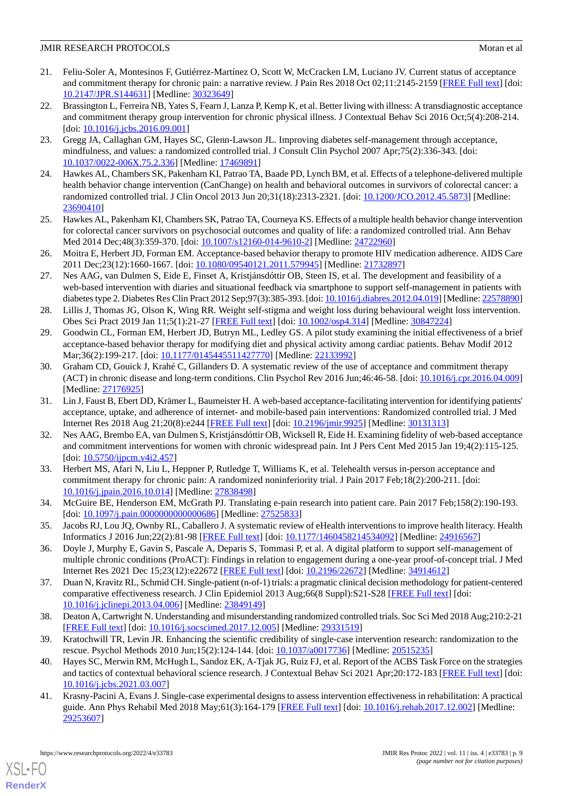- <span id="page-8-0"></span>21. Feliu-Soler A, Montesinos F, Gutiérrez-Martínez O, Scott W, McCracken LM, Luciano JV. Current status of acceptance and commitment therapy for chronic pain: a narrative review. J Pain Res 2018 Oct 02;11:2145-2159 [\[FREE Full text](https://dx.doi.org/10.2147/JPR.S144631)] [doi: [10.2147/JPR.S144631\]](http://dx.doi.org/10.2147/JPR.S144631) [Medline: [30323649\]](http://www.ncbi.nlm.nih.gov/entrez/query.fcgi?cmd=Retrieve&db=PubMed&list_uids=30323649&dopt=Abstract)
- <span id="page-8-1"></span>22. Brassington L, Ferreira NB, Yates S, Fearn J, Lanza P, Kemp K, et al. Better living with illness: A transdiagnostic acceptance and commitment therapy group intervention for chronic physical illness. J Contextual Behav Sci 2016 Oct;5(4):208-214. [doi: [10.1016/j.jcbs.2016.09.001](http://dx.doi.org/10.1016/j.jcbs.2016.09.001)]
- <span id="page-8-11"></span>23. Gregg JA, Callaghan GM, Hayes SC, Glenn-Lawson JL. Improving diabetes self-management through acceptance, mindfulness, and values: a randomized controlled trial. J Consult Clin Psychol 2007 Apr;75(2):336-343. [doi: [10.1037/0022-006X.75.2.336\]](http://dx.doi.org/10.1037/0022-006X.75.2.336) [Medline: [17469891\]](http://www.ncbi.nlm.nih.gov/entrez/query.fcgi?cmd=Retrieve&db=PubMed&list_uids=17469891&dopt=Abstract)
- 24. Hawkes AL, Chambers SK, Pakenham KI, Patrao TA, Baade PD, Lynch BM, et al. Effects of a telephone-delivered multiple health behavior change intervention (CanChange) on health and behavioral outcomes in survivors of colorectal cancer: a randomized controlled trial. J Clin Oncol 2013 Jun 20;31(18):2313-2321. [doi: [10.1200/JCO.2012.45.5873\]](http://dx.doi.org/10.1200/JCO.2012.45.5873) [Medline: [23690410](http://www.ncbi.nlm.nih.gov/entrez/query.fcgi?cmd=Retrieve&db=PubMed&list_uids=23690410&dopt=Abstract)]
- 25. Hawkes AL, Pakenham KI, Chambers SK, Patrao TA, Courneya KS. Effects of a multiple health behavior change intervention for colorectal cancer survivors on psychosocial outcomes and quality of life: a randomized controlled trial. Ann Behav Med 2014 Dec;48(3):359-370. [doi: [10.1007/s12160-014-9610-2](http://dx.doi.org/10.1007/s12160-014-9610-2)] [Medline: [24722960\]](http://www.ncbi.nlm.nih.gov/entrez/query.fcgi?cmd=Retrieve&db=PubMed&list_uids=24722960&dopt=Abstract)
- <span id="page-8-6"></span>26. Moitra E, Herbert JD, Forman EM. Acceptance-based behavior therapy to promote HIV medication adherence. AIDS Care 2011 Dec;23(12):1660-1667. [doi: [10.1080/09540121.2011.579945](http://dx.doi.org/10.1080/09540121.2011.579945)] [Medline: [21732897](http://www.ncbi.nlm.nih.gov/entrez/query.fcgi?cmd=Retrieve&db=PubMed&list_uids=21732897&dopt=Abstract)]
- <span id="page-8-2"></span>27. Nes AAG, van Dulmen S, Eide E, Finset A, Kristjánsdóttir OB, Steen IS, et al. The development and feasibility of a web-based intervention with diaries and situational feedback via smartphone to support self-management in patients with diabetes type 2. Diabetes Res Clin Pract 2012 Sep;97(3):385-393. [doi: [10.1016/j.diabres.2012.04.019](http://dx.doi.org/10.1016/j.diabres.2012.04.019)] [Medline: [22578890](http://www.ncbi.nlm.nih.gov/entrez/query.fcgi?cmd=Retrieve&db=PubMed&list_uids=22578890&dopt=Abstract)]
- <span id="page-8-3"></span>28. Lillis J, Thomas JG, Olson K, Wing RR. Weight self-stigma and weight loss during behavioural weight loss intervention. Obes Sci Pract 2019 Jan 11;5(1):21-27 [[FREE Full text](http://europepmc.org/abstract/MED/30847224)] [doi: [10.1002/osp4.314\]](http://dx.doi.org/10.1002/osp4.314) [Medline: [30847224\]](http://www.ncbi.nlm.nih.gov/entrez/query.fcgi?cmd=Retrieve&db=PubMed&list_uids=30847224&dopt=Abstract)
- <span id="page-8-4"></span>29. Goodwin CL, Forman EM, Herbert JD, Butryn ML, Ledley GS. A pilot study examining the initial effectiveness of a brief acceptance-based behavior therapy for modifying diet and physical activity among cardiac patients. Behav Modif 2012 Mar;36(2):199-217. [doi: [10.1177/0145445511427770](http://dx.doi.org/10.1177/0145445511427770)] [Medline: [22133992](http://www.ncbi.nlm.nih.gov/entrez/query.fcgi?cmd=Retrieve&db=PubMed&list_uids=22133992&dopt=Abstract)]
- <span id="page-8-5"></span>30. Graham CD, Gouick J, Krahé C, Gillanders D. A systematic review of the use of acceptance and commitment therapy (ACT) in chronic disease and long-term conditions. Clin Psychol Rev 2016 Jun;46:46-58. [doi: [10.1016/j.cpr.2016.04.009](http://dx.doi.org/10.1016/j.cpr.2016.04.009)] [Medline: [27176925](http://www.ncbi.nlm.nih.gov/entrez/query.fcgi?cmd=Retrieve&db=PubMed&list_uids=27176925&dopt=Abstract)]
- <span id="page-8-7"></span>31. Lin J, Faust B, Ebert DD, Krämer L, Baumeister H. A web-based acceptance-facilitating intervention for identifying patients' acceptance, uptake, and adherence of internet- and mobile-based pain interventions: Randomized controlled trial. J Med Internet Res 2018 Aug 21;20(8):e244 [\[FREE Full text\]](https://www.jmir.org/2018/8/e244/) [doi: [10.2196/jmir.9925\]](http://dx.doi.org/10.2196/jmir.9925) [Medline: [30131313\]](http://www.ncbi.nlm.nih.gov/entrez/query.fcgi?cmd=Retrieve&db=PubMed&list_uids=30131313&dopt=Abstract)
- <span id="page-8-8"></span>32. Nes AAG, Brembo EA, van Dulmen S, Kristjánsdóttir OB, Wicksell R, Eide H. Examining fidelity of web-based acceptance and commitment interventions for women with chronic widespread pain. Int J Pers Cent Med 2015 Jan 19;4(2):115-125. [doi: [10.5750/ijpcm.v4i2.457\]](http://dx.doi.org/10.5750/ijpcm.v4i2.457)
- <span id="page-8-10"></span><span id="page-8-9"></span>33. Herbert MS, Afari N, Liu L, Heppner P, Rutledge T, Williams K, et al. Telehealth versus in-person acceptance and commitment therapy for chronic pain: A randomized noninferiority trial. J Pain 2017 Feb;18(2):200-211. [doi: [10.1016/j.jpain.2016.10.014\]](http://dx.doi.org/10.1016/j.jpain.2016.10.014) [Medline: [27838498](http://www.ncbi.nlm.nih.gov/entrez/query.fcgi?cmd=Retrieve&db=PubMed&list_uids=27838498&dopt=Abstract)]
- <span id="page-8-12"></span>34. McGuire BE, Henderson EM, McGrath PJ. Translating e-pain research into patient care. Pain 2017 Feb;158(2):190-193. [doi: [10.1097/j.pain.0000000000000686](http://dx.doi.org/10.1097/j.pain.0000000000000686)] [Medline: [27525833\]](http://www.ncbi.nlm.nih.gov/entrez/query.fcgi?cmd=Retrieve&db=PubMed&list_uids=27525833&dopt=Abstract)
- <span id="page-8-13"></span>35. Jacobs RJ, Lou JQ, Ownby RL, Caballero J. A systematic review of eHealth interventions to improve health literacy. Health Informatics J 2016 Jun;22(2):81-98 [\[FREE Full text\]](https://journals.sagepub.com/doi/10.1177/1460458214534092?url_ver=Z39.88-2003&rfr_id=ori:rid:crossref.org&rfr_dat=cr_pub%3dpubmed) [doi: [10.1177/1460458214534092](http://dx.doi.org/10.1177/1460458214534092)] [Medline: [24916567\]](http://www.ncbi.nlm.nih.gov/entrez/query.fcgi?cmd=Retrieve&db=PubMed&list_uids=24916567&dopt=Abstract)
- <span id="page-8-14"></span>36. Doyle J, Murphy E, Gavin S, Pascale A, Deparis S, Tommasi P, et al. A digital platform to support self-management of multiple chronic conditions (ProACT): Findings in relation to engagement during a one-year proof-of-concept trial. J Med Internet Res 2021 Dec 15;23(12):e22672 [\[FREE Full text\]](https://www.jmir.org/2021/12/e22672/) [doi: [10.2196/22672](http://dx.doi.org/10.2196/22672)] [Medline: [34914612\]](http://www.ncbi.nlm.nih.gov/entrez/query.fcgi?cmd=Retrieve&db=PubMed&list_uids=34914612&dopt=Abstract)
- <span id="page-8-16"></span><span id="page-8-15"></span>37. Duan N, Kravitz RL, Schmid CH. Single-patient (n-of-1) trials: a pragmatic clinical decision methodology for patient-centered comparative effectiveness research. J Clin Epidemiol 2013 Aug;66(8 Suppl):S21-S28 [[FREE Full text](https://linkinghub.elsevier.com/retrieve/pii/S0895-4356(13)00156-X)] [doi: [10.1016/j.jclinepi.2013.04.006\]](http://dx.doi.org/10.1016/j.jclinepi.2013.04.006) [Medline: [23849149](http://www.ncbi.nlm.nih.gov/entrez/query.fcgi?cmd=Retrieve&db=PubMed&list_uids=23849149&dopt=Abstract)]
- <span id="page-8-17"></span>38. Deaton A, Cartwright N. Understanding and misunderstanding randomized controlled trials. Soc Sci Med 2018 Aug;210:2-21 [[FREE Full text](https://linkinghub.elsevier.com/retrieve/pii/S0277-9536(17)30735-9)] [doi: [10.1016/j.socscimed.2017.12.005](http://dx.doi.org/10.1016/j.socscimed.2017.12.005)] [Medline: [29331519\]](http://www.ncbi.nlm.nih.gov/entrez/query.fcgi?cmd=Retrieve&db=PubMed&list_uids=29331519&dopt=Abstract)
- 39. Kratochwill TR, Levin JR. Enhancing the scientific credibility of single-case intervention research: randomization to the rescue. Psychol Methods 2010 Jun;15(2):124-144. [doi: [10.1037/a0017736\]](http://dx.doi.org/10.1037/a0017736) [Medline: [20515235](http://www.ncbi.nlm.nih.gov/entrez/query.fcgi?cmd=Retrieve&db=PubMed&list_uids=20515235&dopt=Abstract)]
- 40. Hayes SC, Merwin RM, McHugh L, Sandoz EK, A-Tjak JG, Ruiz FJ, et al. Report of the ACBS Task Force on the strategies and tactics of contextual behavioral science research. J Contextual Behav Sci 2021 Apr;20:172-183 [\[FREE Full text](https://www.sciencedirect.com/science/article/pii/S2212144721000302?via%3Dihub)] [doi: [10.1016/j.jcbs.2021.03.007\]](http://dx.doi.org/10.1016/j.jcbs.2021.03.007)
- 41. Krasny-Pacini A, Evans J. Single-case experimental designs to assess intervention effectiveness in rehabilitation: A practical guide. Ann Phys Rehabil Med 2018 May;61(3):164-179 [\[FREE Full text](https://linkinghub.elsevier.com/retrieve/pii/S1877-0657(17)30454-2)] [doi: [10.1016/j.rehab.2017.12.002\]](http://dx.doi.org/10.1016/j.rehab.2017.12.002) [Medline: [29253607](http://www.ncbi.nlm.nih.gov/entrez/query.fcgi?cmd=Retrieve&db=PubMed&list_uids=29253607&dopt=Abstract)]